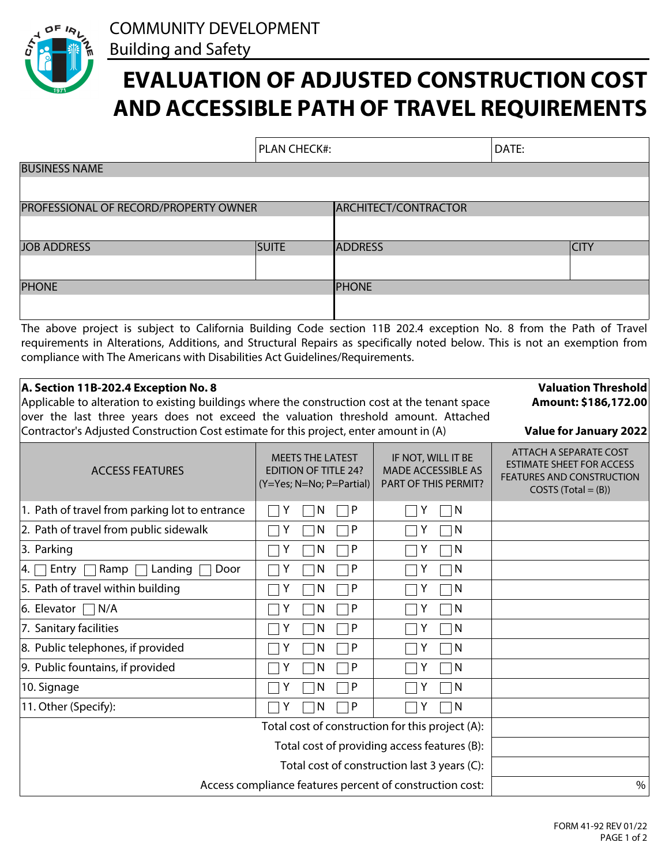

## **EVALUATION OF ADJUSTED CONSTRUCTION COST AND ACCESSIBLE PATH OF TRAVEL REQUIREMENTS**

|                                                                                                                                                                                                               | <b>PLAN CHECK#:</b>                                    |                             |                                                 | DATE:                                              |  |  |
|---------------------------------------------------------------------------------------------------------------------------------------------------------------------------------------------------------------|--------------------------------------------------------|-----------------------------|-------------------------------------------------|----------------------------------------------------|--|--|
| <b>BUSINESS NAME</b>                                                                                                                                                                                          |                                                        |                             |                                                 |                                                    |  |  |
|                                                                                                                                                                                                               |                                                        |                             |                                                 |                                                    |  |  |
| PROFESSIONAL OF RECORD/PROPERTY OWNER                                                                                                                                                                         |                                                        | <b>ARCHITECT/CONTRACTOR</b> |                                                 |                                                    |  |  |
|                                                                                                                                                                                                               |                                                        |                             |                                                 |                                                    |  |  |
| <b>JOB ADDRESS</b>                                                                                                                                                                                            | <b>SUITE</b>                                           | <b>ADDRESS</b>              |                                                 | <b>CITY</b>                                        |  |  |
|                                                                                                                                                                                                               |                                                        |                             |                                                 |                                                    |  |  |
| <b>PHONE</b>                                                                                                                                                                                                  |                                                        | <b>PHONE</b>                |                                                 |                                                    |  |  |
|                                                                                                                                                                                                               |                                                        |                             |                                                 |                                                    |  |  |
| The above project is subject to California Building Code section 11B 202.4 exception No. 8 from the Path of Travel                                                                                            |                                                        |                             |                                                 |                                                    |  |  |
| requirements in Alterations, Additions, and Structural Repairs as specifically noted below. This is not an exemption from                                                                                     |                                                        |                             |                                                 |                                                    |  |  |
| compliance with The Americans with Disabilities Act Guidelines/Requirements.                                                                                                                                  |                                                        |                             |                                                 |                                                    |  |  |
| A. Section 11B-202.4 Exception No. 8                                                                                                                                                                          | <b>Valuation Threshold</b>                             |                             |                                                 |                                                    |  |  |
| Applicable to alteration to existing buildings where the construction cost at the tenant space                                                                                                                |                                                        |                             |                                                 | Amount: \$186,172.00                               |  |  |
| over the last three years does not exceed the valuation threshold amount. Attached<br>Contractor's Adjusted Construction Cost estimate for this project, enter amount in (A)<br><b>Value for January 2022</b> |                                                        |                             |                                                 |                                                    |  |  |
|                                                                                                                                                                                                               |                                                        |                             |                                                 | ATTACH A SEPARATE COST                             |  |  |
| <b>ACCESS FEATURES</b>                                                                                                                                                                                        | <b>MEETS THE LATEST</b><br><b>EDITION OF TITLE 24?</b> |                             | IF NOT, WILL IT BE<br><b>MADE ACCESSIBLE AS</b> | <b>ESTIMATE SHEET FOR ACCESS</b>                   |  |  |
|                                                                                                                                                                                                               | (Y=Yes; N=No; P=Partial)                               |                             | PART OF THIS PERMIT?                            | FEATURES AND CONSTRUCTION<br>$COSTS (Total = (B))$ |  |  |
| 1. Path of travel from parking lot to entrance                                                                                                                                                                | N                                                      | P                           | N<br>Y                                          |                                                    |  |  |
| 2. Path of travel from public sidewalk                                                                                                                                                                        | N                                                      | P                           | Y<br>N                                          |                                                    |  |  |
| 3. Parking                                                                                                                                                                                                    | N                                                      | P                           | ١N<br>Y                                         |                                                    |  |  |
| Ramp<br>Landing<br>Door<br>4.<br>Entry                                                                                                                                                                        | N                                                      | P                           | Y<br>١N                                         |                                                    |  |  |
| 5. Path of travel within building                                                                                                                                                                             | N                                                      | P                           | ١N<br>Y                                         |                                                    |  |  |
| 6. Elevator<br>N/A                                                                                                                                                                                            | N                                                      |                             | Υ<br>N                                          |                                                    |  |  |
| 7. Sanitary facilities                                                                                                                                                                                        | $\Box$ Y<br>$\Box N$                                   | $\Box P$                    | $\Box$ Y<br>$\Box N$                            |                                                    |  |  |
| 8. Public telephones, if provided                                                                                                                                                                             | N                                                      | P                           | Y<br>N                                          |                                                    |  |  |
| 9. Public fountains, if provided                                                                                                                                                                              | ٦N<br>Y                                                | P                           | Y<br>N                                          |                                                    |  |  |
| 10. Signage                                                                                                                                                                                                   | N                                                      | P                           | Y<br>N                                          |                                                    |  |  |
| 11. Other (Specify):                                                                                                                                                                                          | N                                                      | P                           | Υ<br>N                                          |                                                    |  |  |
|                                                                                                                                                                                                               |                                                        |                             |                                                 |                                                    |  |  |
|                                                                                                                                                                                                               |                                                        |                             |                                                 |                                                    |  |  |
|                                                                                                                                                                                                               |                                                        |                             |                                                 |                                                    |  |  |
| Access compliance features percent of construction cost:                                                                                                                                                      | $\%$                                                   |                             |                                                 |                                                    |  |  |